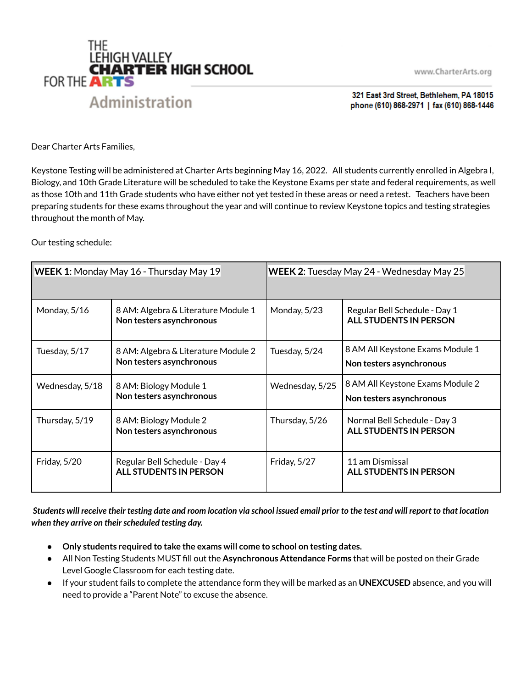



321 East 3rd Street, Bethlehem, PA 18015 phone (610) 868-2971 | fax (610) 868-1446

Dear Charter Arts Families,

Keystone Testing will be administered at Charter Arts beginning May 16, 2022. All students currently enrolled in Algebra I, Biology, and 10th Grade Literature will be scheduled to take the Keystone Exams per state and federal requirements, as well as those 10th and 11th Grade students who have either not yet tested in these areas or need a retest. Teachers have been preparing students for these exams throughout the year and will continue to review Keystone topics and testing strategies throughout the month of May.

Our testing schedule:

| WEEK 1: Monday May 16 - Thursday May 19 |                                                                 | WEEK 2: Tuesday May 24 - Wednesday May 25 |                                                                |
|-----------------------------------------|-----------------------------------------------------------------|-------------------------------------------|----------------------------------------------------------------|
| Monday, 5/16                            | 8 AM: Algebra & Literature Module 1<br>Non testers asynchronous | Monday, 5/23                              | Regular Bell Schedule - Day 1<br><b>ALL STUDENTS IN PERSON</b> |
| Tuesday, 5/17                           | 8 AM: Algebra & Literature Module 2<br>Non testers asynchronous | Tuesday, 5/24                             | 8 AM All Keystone Exams Module 1<br>Non testers asynchronous   |
| Wednesday, 5/18                         | 8 AM: Biology Module 1<br>Non testers asynchronous              | Wednesday, 5/25                           | 8 AM All Keystone Exams Module 2<br>Non testers asynchronous   |
| Thursday, 5/19                          | 8 AM: Biology Module 2<br>Non testers asynchronous              | Thursday, 5/26                            | Normal Bell Schedule - Day 3<br><b>ALL STUDENTS IN PERSON</b>  |
| Friday, 5/20                            | Regular Bell Schedule - Day 4<br><b>ALL STUDENTS IN PERSON</b>  | Friday, 5/27                              | 11 am Dismissal<br><b>ALL STUDENTS IN PERSON</b>               |

Students will receive their testing date and room location via school issued email prior to the test and will report to that location *when they arrive on theirscheduled testing day.*

- **● Only students required to take the exams will come to school on testing dates.**
- All Non Testing Students MUST fill out the **Asynchronous Attendance Forms** that will be posted on their Grade Level Google Classroom for each testing date.
- If your student fails to complete the attendance form they will be marked as an **UNEXCUSED** absence, and you will need to provide a "Parent Note" to excuse the absence.